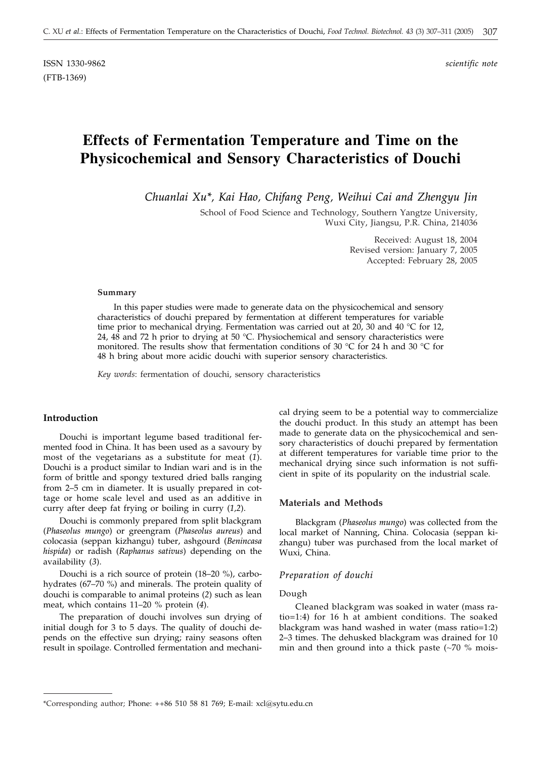ISSN 1330-9862 *scientific note* (FTB-1369)

# **Effects of Fermentation Temperature and Time on the Physicochemical and Sensory Characteristics of Douchi**

*Chuanlai Xu\*, Kai Hao, Chifang Peng, Weihui Cai and Zhengyu Jin*

School of Food Science and Technology, Southern Yangtze University, Wuxi City, Jiangsu, P.R. China, 214036

> Received: August 18, 2004 Revised version: January 7, 2005 Accepted: February 28, 2005

### **Summary**

In this paper studies were made to generate data on the physicochemical and sensory characteristics of douchi prepared by fermentation at different temperatures for variable time prior to mechanical drying. Fermentation was carried out at 20, 30 and 40 °C for 12, 24,  $48$  and 72 h prior to drying at 50 °C. Physiochemical and sensory characteristics were monitored. The results show that fermentation conditions of 30  $^{\circ}$ C for 24 h and 30  $^{\circ}$ C for 48 h bring about more acidic douchi with superior sensory characteristics.

*Key words*: fermentation of douchi, sensory characteristics

## **Introduction**

Douchi is important legume based traditional fermented food in China. It has been used as a savoury by most of the vegetarians as a substitute for meat (*1*). Douchi is a product similar to Indian wari and is in the form of brittle and spongy textured dried balls ranging from 2–5 cm in diameter. It is usually prepared in cottage or home scale level and used as an additive in curry after deep fat frying or boiling in curry (*1,2*).

Douchi is commonly prepared from split blackgram (*Phaseolus mungo*) or greengram (*Phaseolus aureus*) and colocasia (seppan kizhangu) tuber, ashgourd (*Benincasa hispida*) or radish (*Raphanus sativus*) depending on the availability (*3*).

Douchi is a rich source of protein (18–20 %), carbohydrates (67–70 %) and minerals. The protein quality of douchi is comparable to animal proteins (*2*) such as lean meat, which contains 11–20 % protein (*4*).

The preparation of douchi involves sun drying of initial dough for 3 to 5 days. The quality of douchi depends on the effective sun drying; rainy seasons often result in spoilage. Controlled fermentation and mechanical drying seem to be a potential way to commercialize the douchi product. In this study an attempt has been made to generate data on the physicochemical and sensory characteristics of douchi prepared by fermentation at different temperatures for variable time prior to the mechanical drying since such information is not sufficient in spite of its popularity on the industrial scale.

## **Materials and Methods**

Blackgram (*Phaseolus mungo*) was collected from the local market of Nanning, China. Colocasia (seppan kizhangu) tuber was purchased from the local market of Wuxi, China.

## *Preparation of douchi*

## Dough

Cleaned blackgram was soaked in water (mass ratio=1:4) for 16 h at ambient conditions. The soaked blackgram was hand washed in water (mass ratio=1:2) 2–3 times. The dehusked blackgram was drained for 10 min and then ground into a thick paste  $(-70\% \text{ mois}$ 

<sup>\*</sup>Corresponding author; Phone: ++86 510 58 81 769; E-mail: xcl*@*sytu.edu.cn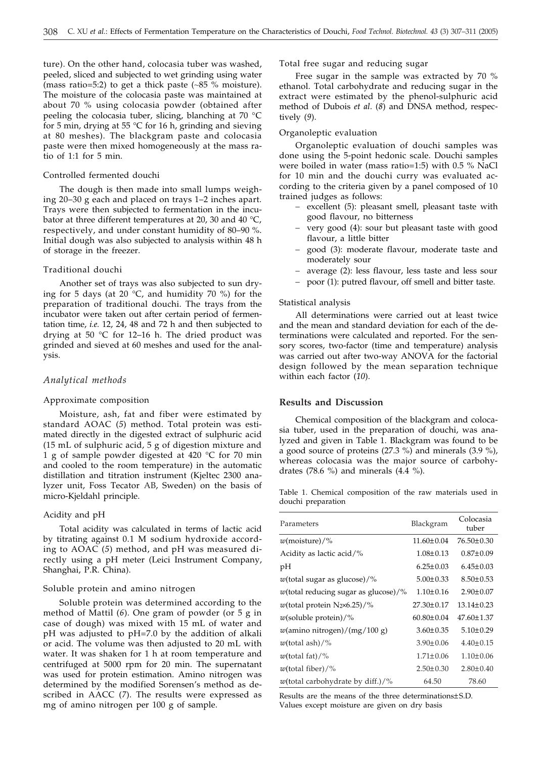ture). On the other hand, colocasia tuber was washed, peeled, sliced and subjected to wet grinding using water (mass ratio=5:2) to get a thick paste  $(\sim 85$  % moisture). The moisture of the colocasia paste was maintained at about 70 % using colocasia powder (obtained after peeling the colocasia tuber, slicing, blanching at 70 °C for 5 min, drying at 55 °C for 16 h, grinding and sieving at 80 meshes). The blackgram paste and colocasia paste were then mixed homogeneously at the mass ratio of 1:1 for 5 min.

## Controlled fermented douchi

The dough is then made into small lumps weighing 20–30 g each and placed on trays 1–2 inches apart. Trays were then subjected to fermentation in the incubator at three different temperatures at 20, 30 and 40 °C, respectively, and under constant humidity of 80–90 %. Initial dough was also subjected to analysis within 48 h of storage in the freezer.

#### Traditional douchi

Another set of trays was also subjected to sun drying for 5 days (at 20 °C, and humidity 70 %) for the preparation of traditional douchi. The trays from the incubator were taken out after certain period of fermentation time, *i.e.* 12, 24, 48 and 72 h and then subjected to drying at 50 °C for 12–16 h. The dried product was grinded and sieved at 60 meshes and used for the analysis.

## *Analytical methods*

#### Approximate composition

Moisture, ash, fat and fiber were estimated by standard AOAC (*5*) method. Total protein was estimated directly in the digested extract of sulphuric acid (15 mL of sulphuric acid, 5 g of digestion mixture and 1 g of sample powder digested at 420 °C for 70 min and cooled to the room temperature) in the automatic distillation and titration instrument (Kjeltec 2300 analyzer unit, Foss Tecator AB, Sweden) on the basis of micro-Kjeldahl principle.

#### Acidity and pH

Total acidity was calculated in terms of lactic acid by titrating against 0.1 M sodium hydroxide according to AOAC (*5*) method, and pH was measured directly using a pH meter (Leici Instrument Company, Shanghai, P.R. China).

## Soluble protein and amino nitrogen

Soluble protein was determined according to the method of Mattil (*6*). One gram of powder (or 5 g in case of dough) was mixed with 15 mL of water and pH was adjusted to pH=7.0 by the addition of alkali or acid. The volume was then adjusted to 20 mL with water. It was shaken for 1 h at room temperature and centrifuged at 5000 rpm for 20 min. The supernatant was used for protein estimation. Amino nitrogen was determined by the modified Sorensen's method as described in AACC (*7*). The results were expressed as mg of amino nitrogen per 100 g of sample.

## Total free sugar and reducing sugar

Free sugar in the sample was extracted by 70 % ethanol. Total carbohydrate and reducing sugar in the extract were estimated by the phenol-sulphuric acid method of Dubois *et al*. (*8*) and DNSA method, respectively (*9*).

## Organoleptic evaluation

Organoleptic evaluation of douchi samples was done using the 5-point hedonic scale. Douchi samples were boiled in water (mass ratio=1:5) with 0.5 % NaCl for 10 min and the douchi curry was evaluated according to the criteria given by a panel composed of 10 trained judges as follows:

- excellent (5): pleasant smell, pleasant taste with good flavour, no bitterness
- very good (4): sour but pleasant taste with good flavour, a little bitter
- good (3): moderate flavour, moderate taste and moderately sour
- ¿ average (2): less flavour, less taste and less sour
- poor (1): putred flavour, off smell and bitter taste.

#### Statistical analysis

All determinations were carried out at least twice and the mean and standard deviation for each of the determinations were calculated and reported. For the sensory scores, two-factor (time and temperature) analysis was carried out after two-way ANOVA for the factorial design followed by the mean separation technique within each factor (*10*).

## **Results and Discussion**

Chemical composition of the blackgram and colocasia tuber, used in the preparation of douchi, was analyzed and given in Table 1. Blackgram was found to be a good source of proteins (27.3 %) and minerals (3.9 %), whereas colocasia was the major source of carbohydrates (78.6 %) and minerals (4.4 %).

Table 1. Chemical composition of the raw materials used in douchi preparation

| Parameters                                           | Blackgram        | Colocasia<br>tuber |  |
|------------------------------------------------------|------------------|--------------------|--|
| $w$ (moisture)/%                                     | $11.60 \pm 0.04$ | $76.50 \pm 0.30$   |  |
| Acidity as lactic acid/ $\%$                         | $1.08 \pm 0.13$  | $0.87 \pm 0.09$    |  |
| pН                                                   | $6.25 \pm 0.03$  | $6.45 \pm 0.03$    |  |
| <i>w</i> (total sugar as glucose)/%                  | $5.00 \pm 0.33$  | $8.50 \pm 0.53$    |  |
| <i>w</i> (total reducing sugar as glucose)/%         | $1.10 \pm 0.16$  | $2.90 \pm 0.07$    |  |
| w(total protein $N_2\times 6.25$ )/%                 | $27.30 \pm 0.17$ | $13.14 \pm 0.23$   |  |
| $w$ (soluble protein)/%                              | $60.80 \pm 0.04$ | 47.60±1.37         |  |
| $w(\text{amino nitrogen})/(\text{mg}/100 \text{ g})$ | $3.60 \pm 0.35$  | $5.10 \pm 0.29$    |  |
| $w$ (total ash)/%                                    | $3.90 + 0.06$    | $4.40+0.15$        |  |
| w(total fat)/%                                       | $1.71 \pm 0.06$  | $1.10 \pm 0.06$    |  |
| $w$ (total fiber)/%                                  | $2.50 \pm 0.30$  | $2.80 \pm 0.40$    |  |
| w(total carbohydrate by diff.)/%                     | 64.50            | 78.60              |  |

Results are the means of the three determinations±S.D. Values except moisture are given on dry basis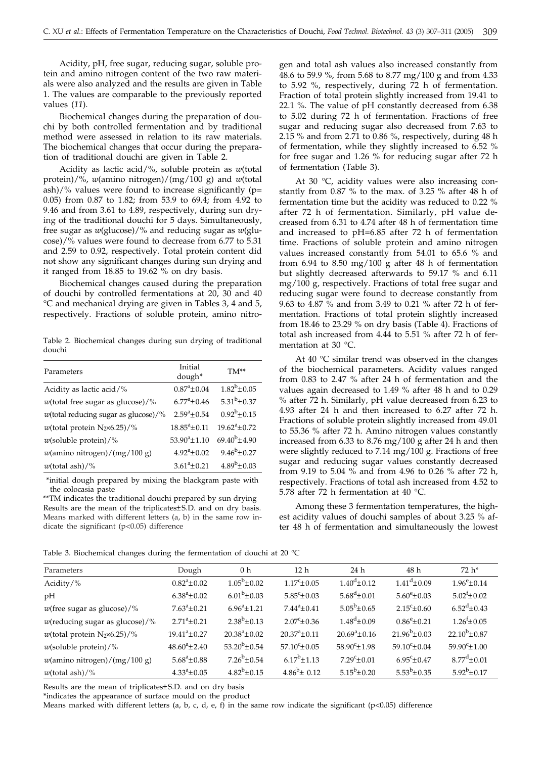Acidity, pH, free sugar, reducing sugar, soluble protein and amino nitrogen content of the two raw materials were also analyzed and the results are given in Table 1. The values are comparable to the previously reported values (*11*).

Biochemical changes during the preparation of douchi by both controlled fermentation and by traditional method were assessed in relation to its raw materials. The biochemical changes that occur during the preparation of traditional douchi are given in Table 2.

Acidity as lactic acid/%, soluble protein as *w*(total protein)/%, *w*(amino nitrogen)/(mg/100 g) and *w*(total ash)/% values were found to increase significantly ( $p=$ 0.05) from 0.87 to 1.82; from 53.9 to 69.4; from 4.92 to 9.46 and from 3.61 to 4.89, respectively, during sun drying of the traditional douchi for 5 days. Simultaneously, free sugar as *w*(glucose)/% and reducing sugar as *w*(glucose)/% values were found to decrease from 6.77 to 5.31 and 2.59 to 0.92, respectively. Total protein content did not show any significant changes during sun drying and it ranged from 18.85 to 19.62 % on dry basis.

Biochemical changes caused during the preparation of douchi by controlled fermentations at 20, 30 and 40 °C and mechanical drying are given in Tables 3, 4 and 5, respectively. Fractions of soluble protein, amino nitro-

Table 2. Biochemical changes during sun drying of traditional douchi

| Parameters                                 | Initial<br>dough*          | $TM^{**}$                     |  |
|--------------------------------------------|----------------------------|-------------------------------|--|
| Acidity as lactic acid/%                   | $0.87^{\circ}$ ±0.04       | $1.82^b \pm 0.05$             |  |
| $w$ (total free sugar as glucose)/%        | $6.77^{\mathrm{a}}$ ± 0.46 | $5.31^{b} \pm 0.37$           |  |
| $w$ (total reducing sugar as glucose)/%    | $2.59^a \pm 0.54$          | $0.92^b \pm 0.15$             |  |
| $w$ (total protein N <sub>2</sub> ×6.25)/% | $18.85^{\circ} \pm 0.11$   | $19.62^{\mathrm{a}} \pm 0.72$ |  |
| $w$ (soluble protein)/%                    | $53.90^a \pm 1.10$         | $69.40^{b} + 4.90$            |  |
| $w$ (amino nitrogen)/(mg/100 g)            | $4.92^a \pm 0.02$          | $9.46^{b} + 0.27$             |  |
| $w$ (total ash)/%                          | $3.61^a \pm 0.21$          | $4.89^{b} \pm 0.03$           |  |

\*initial dough prepared by mixing the blackgram paste with the colocasia paste

\*\*TM indicates the traditional douchi prepared by sun drying Results are the mean of the triplicates±S.D. and on dry basis. Means marked with different letters (a, b) in the same row indicate the significant (p<0.05) difference

gen and total ash values also increased constantly from 48.6 to 59.9 %, from 5.68 to 8.77 mg/100 g and from 4.33 to 5.92 %, respectively, during 72 h of fermentation. Fraction of total protein slightly increased from 19.41 to 22.1 %. The value of pH constantly decreased from 6.38 to 5.02 during 72 h of fermentation. Fractions of free sugar and reducing sugar also decreased from 7.63 to 2.15 % and from 2.71 to 0.86 %, respectively, during 48 h of fermentation, while they slightly increased to 6.52 % for free sugar and 1.26 % for reducing sugar after 72 h of fermentation (Table 3).

At 30 °C, acidity values were also increasing constantly from 0.87 % to the max. of 3.25 % after 48 h of fermentation time but the acidity was reduced to 0.22 % after 72 h of fermentation. Similarly, pH value decreased from 6.31 to 4.74 after 48 h of fermentation time and increased to pH=6.85 after 72 h of fermentation time. Fractions of soluble protein and amino nitrogen values increased constantly from 54.01 to 65.6 % and from 6.94 to 8.50 mg/100 g after 48 h of fermentation but slightly decreased afterwards to 59.17 % and 6.11 mg/100 g, respectively. Fractions of total free sugar and reducing sugar were found to decrease constantly from 9.63 to 4.87 % and from 3.49 to 0.21 % after 72 h of fermentation. Fractions of total protein slightly increased from 18.46 to 23.29 % on dry basis (Table 4). Fractions of total ash increased from 4.44 to 5.51 % after 72 h of fermentation at 30 °C.

At 40 °C similar trend was observed in the changes of the biochemical parameters. Acidity values ranged from 0.83 to 2.47 % after 24 h of fermentation and the values again decreased to 1.49 % after 48 h and to 0.29 % after 72 h. Similarly, pH value decreased from 6.23 to 4.93 after 24 h and then increased to 6.27 after 72 h. Fractions of soluble protein slightly increased from 49.01 to 55.36 % after 72 h. Amino nitrogen values constantly increased from 6.33 to 8.76 mg/100 g after 24 h and then were slightly reduced to 7.14 mg/100 g. Fractions of free sugar and reducing sugar values constantly decreased from 9.19 to 5.04 % and from 4.96 to 0.26 % after 72 h, respectively. Fractions of total ash increased from 4.52 to 5.78 after 72 h fermentation at 40 °C.

Among these 3 fermentation temperatures, the highest acidity values of douchi samples of about 3.25 % after 48 h of fermentation and simultaneously the lowest

Table 3. Biochemical changes during the fermentation of douchi at 20 °C

| Parameters                                           | Dough                    | 0 <sub>h</sub>       | 12 <sub>h</sub>          | 24 <sub>h</sub>         | 48 h                     | $72 h*$                  |
|------------------------------------------------------|--------------------------|----------------------|--------------------------|-------------------------|--------------------------|--------------------------|
| Acidity/ $\%$                                        | $0.82^a \pm 0.02$        | $1.05^b \pm 0.02$    | $1.17^{\circ}$ ± 0.05    | $1.40^d \pm 0.12$       | $1.41^d \pm 0.09$        | $1.96^{\rm e}$ ±0.14     |
| pH                                                   | $6.38^{\rm a}$ ±0.02     | $6.01^b \pm 0.03$    | $5.85^{\circ} \pm 0.03$  | $5.68^{\rm d}$ ±0.01    | $5.60^{\circ} \pm 0.03$  | $5.02^{f} \pm 0.02$      |
| $w$ (free sugar as glucose)/%                        | $7.63^a \pm 0.21$        | $6.96^a \pm 1.21$    | $7.44^a \pm 0.41$        | $5.05^b \pm 0.65$       | $2.15^{\circ} \pm 0.60$  | $6.52^d \pm 0.43$        |
| $w$ (reducing sugar as glucose)/%                    | $2.71^a \pm 0.21$        | $2.38^{b} \pm 0.13$  | $2.07^{\rm c} \pm 0.36$  | $1.48^{d} \pm 0.09$     | $0.86^{\rm e}{\pm}0.21$  | $1.26^{f} \pm 0.05$      |
| $w$ (total protein N <sub>2</sub> ×6.25)/%           | $19.41^a \pm 0.27$       | $20.38^a \pm 0.02$   | $20.37^a \pm 0.11$       | $20.69^a \pm 0.16$      | $21.96^b \pm 0.03$       | $22.10^{b} \pm 0.87$     |
| $w$ (soluble protein)/%                              | $48.60^{\circ} \pm 2.40$ | $53.20^{b} \pm 0.54$ | $57.10^{\circ} \pm 0.05$ | $58.90^{\circ}$ ±1.98   | $59.10^{\circ} \pm 0.04$ | $59.90^{\circ} \pm 1.00$ |
| $w(\text{amino nitrogen})/(\text{mg}/100 \text{ g})$ | $5.68^{\rm a}$ ±0.88     | $7.26^{b} \pm 0.54$  | $6.17^{b}$ ±1.13         | $7.29^{\circ} \pm 0.01$ | $6.95^{\circ}$ ± 0.47    | $8.77^{\rm d} \pm 0.01$  |
| $w$ (total ash)/%                                    | $4.33^{\circ} \pm 0.05$  | $4.82^b \pm 0.15$    | $4.86^{b} \pm 0.12$      | $5.15^b \pm 0.20$       | $5.53^{b} \pm 0.35$      | $5.92^{b} \pm 0.17$      |

Results are the mean of triplicates±S.D. and on dry basis

\*indicates the appearance of surface mould on the product

Means marked with different letters (a, b, c, d, e, f) in the same row indicate the significant (p<0.05) difference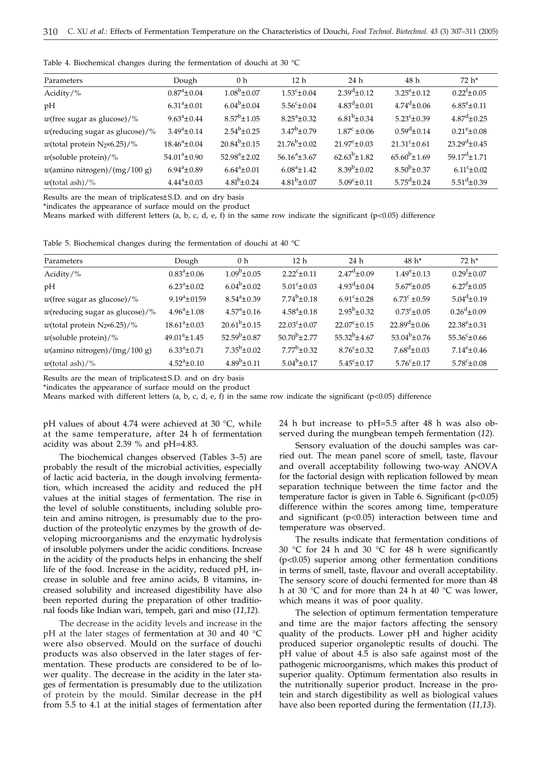Table 4. Biochemical changes during the fermentation of douchi at 30 °C

| Parameters                                           | Dough                | 0 <sub>h</sub>       | 12 <sub>h</sub>         | 24 <sub>h</sub>          | 48 h                     | $72 h*$                     |
|------------------------------------------------------|----------------------|----------------------|-------------------------|--------------------------|--------------------------|-----------------------------|
| Acidity/ $\%$                                        | $0.87^{\circ}$ ±0.04 | $1.08^{b} \pm 0.07$  | $1.53^{\circ}$ ±0.04    | $2.39^{d} \pm 0.12$      | $3.25^{\rm e}{\pm}0.12$  | $0.22^{f} \pm 0.05$         |
| pH                                                   | $6.31^a \pm 0.01$    | $6.04^b \pm 0.04$    | $5.56^{\circ} \pm 0.04$ | $4.83^{\rm d} \pm 0.01$  | $4.74^{\rm d} \pm 0.06$  | $6.85^{\rm e}{\pm}0.11$     |
| $w$ (free sugar as glucose)/%                        | $9.63^a \pm 0.44$    | $8.57^b \pm 1.05$    | $8.25^a \pm 0.32$       | $6.81^{b} \pm 0.34$      | $5.23^{\circ} \pm 0.39$  | $4.87^{\rm d} \pm 0.25$     |
| $w$ (reducing sugar as glucose)/%                    | $3.49^a \pm 0.14$    | $2.54^b \pm 0.25$    | $3.47^b \pm 0.79$       | $1.87^{\circ} \pm 0.06$  | $0.59^d \pm 0.14$        | $0.21^e \pm 0.08$           |
| $w$ (total protein N <sub>2</sub> ×6.25)/%           | $18.46^a \pm 0.04$   | $20.84^{b} \pm 0.15$ | $21.76^{b} \pm 0.02$    | $21.97^{\circ} \pm 0.03$ | $21.31^{\circ} \pm 0.61$ | $23.29^{d} \pm 0.45$        |
| $w$ (soluble protein)/%                              | $54.01^a \pm 0.90$   | $52.98^a \pm 2.02$   | $56.16^a \pm 3.67$      | $62.63^b \pm 1.82$       | $65.60^{b} \pm 1.69$     | $59.17^{\text{d}} \pm 1.71$ |
| $w(\text{amino nitrogen})/(\text{mg}/100 \text{ g})$ | $6.94^a \pm 0.89$    | $6.64^a \pm 0.01$    | $6.08^a \pm 1.42$       | $8.39^{b} \pm 0.02$      | $8.50^{b} \pm 0.37$      | $6.11^{\circ} \pm 0.02$     |
| $w$ (total ash)/%                                    | $4.44^a \pm 0.03$    | $4.81^{b} \pm 0.24$  | $4.81^{b} \pm 0.07$     | $5.09^{\circ}$ ±0.11     | $5.75^{\rm d}$ ±0.24     | $5.51^d \pm 0.39$           |

Results are the mean of triplicates±S.D. and on dry basis

\*indicates the appearance of surface mould on the product

Means marked with different letters (a, b, c, d, e, f) in the same row indicate the significant (p<0.05) difference

Table 5. Biochemical changes during the fermentation of douchi at 40 °C

| Parameters                                 | Dough                        | 0 <sub>h</sub>               | 12 <sub>h</sub>          | 24 <sub>h</sub>          | $48 h*$                       | $72 h*$                  |
|--------------------------------------------|------------------------------|------------------------------|--------------------------|--------------------------|-------------------------------|--------------------------|
| Acidity/ $\%$                              | $0.83^{\rm a} \pm 0.06$      | $1.09^b \pm 0.05$            | $2.22^c \pm 0.11$        | $2.47^{\rm d} \pm 0.09$  | $1.49^e \pm 0.13$             | $0.29^{f} \pm 0.07$      |
| pH                                         | $6.23^{\rm a} \pm 0.02$      | $6.04^b \pm 0.02$            | $5.01^{\circ} \pm 0.03$  | $4.93^{\rm d} \pm 0.04$  | $5.67^{\rm e}{\pm}0.05$       | $6.27^{f} \pm 0.05$      |
| $w$ (free sugar as glucose)/%              | $9.19^a \pm 0159$            | $8.54^a \pm 0.39$            | $7.74^b \pm 0.18$        | $6.91^{\circ} \pm 0.28$  | $6.73^{\circ}$ ± 0.59         | $5.04^d \pm 0.19$        |
| $w$ (reducing sugar as glucose)/%          | $4.96^a \pm 1.08$            | $4.57^{\mathrm{a}} \pm 0.16$ | $4.58^{\circ} \pm 0.18$  | $2.95^b \pm 0.32$        | $0.73^{\rm c} \pm 0.05$       | $0.26^{\rm d} \pm 0.09$  |
| $w$ (total protein N <sub>2</sub> ×6.25)/% | $18.61^a \pm 0.03$           | $20.61^b \pm 0.15$           | $22.03^{\circ} \pm 0.07$ | $22.07^{\circ} \pm 0.15$ | $22.89^{\mathrm{d}} \pm 0.06$ | $22.38^{\rm e}{\pm}0.31$ |
| $w$ (soluble protein)/%                    | $49.01^a \pm 1.45$           | $52.59^{b} \pm 0.87$         | $50.70^{b} \pm 2.77$     | $55.32^{b} \pm 4.67$     | $53.04^{b} \pm 0.76$          | $55.36^{\circ} \pm 0.66$ |
| $w$ (amino nitrogen)/(mg/100 g)            | $6.33^a \pm 0.71$            | $7.35^b \pm 0.02$            | $7.77^b \pm 0.32$        | $8.76^{\circ} \pm 0.32$  | $7.68^{\rm d}$ ±0.03          | $7.14^{\rm e}{\pm}0.46$  |
| $w$ (total ash)/%                          | $4.52^{\mathrm{a}} \pm 0.10$ | $4.89^{b} \pm 0.11$          | $5.04^{b} \pm 0.17$      | $5.45^{\circ} \pm 0.17$  | $5.76^{\rm c} \pm 0.17$       | $5.78^{\circ} \pm 0.08$  |

Results are the mean of triplicates±S.D. and on dry basis

\*indicates the appearance of surface mould on the product

Means marked with different letters (a, b, c, d, e, f) in the same row indicate the significant (p<0.05) difference

pH values of about 4.74 were achieved at 30 °C, while at the same temperature, after 24 h of fermentation acidity was about 2.39 % and pH=4.83.

The biochemical changes observed (Tables 3–5) are probably the result of the microbial activities, especially of lactic acid bacteria, in the dough involving fermentation, which increased the acidity and reduced the pH values at the initial stages of fermentation. The rise in the level of soluble constituents, including soluble protein and amino nitrogen, is presumably due to the production of the proteolytic enzymes by the growth of developing microorganisms and the enzymatic hydrolysis of insoluble polymers under the acidic conditions. Increase in the acidity of the products helps in enhancing the shelf life of the food. Increase in the acidity, reduced pH, increase in soluble and free amino acids, B vitamins, increased solubility and increased digestibility have also been reported during the preparation of other traditional foods like Indian wari, tempeh, gari and miso (*11,12*).

The decrease in the acidity levels and increase in the pH at the later stages of fermentation at 30 and 40 °C were also observed. Mould on the surface of douchi products was also observed in the later stages of fermentation. These products are considered to be of lower quality. The decrease in the acidity in the later stages of fermentation is presumably due to the utilization of protein by the mould. Similar decrease in the pH from 5.5 to 4.1 at the initial stages of fermentation after 24 h but increase to pH=5.5 after 48 h was also observed during the mungbean tempeh fermentation (*12*).

Sensory evaluation of the douchi samples was carried out. The mean panel score of smell, taste, flavour and overall acceptability following two-way ANOVA for the factorial design with replication followed by mean separation technique between the time factor and the temperature factor is given in Table 6. Significant (p<0.05) difference within the scores among time, temperature and significant  $(p<0.05)$  interaction between time and temperature was observed.

The results indicate that fermentation conditions of 30  $\degree$ C for 24 h and 30  $\degree$ C for 48 h were significantly (p<0.05) superior among other fermentation conditions in terms of smell, taste, flavour and overall acceptability. The sensory score of douchi fermented for more than 48 h at 30 °C and for more than 24 h at 40 °C was lower, which means it was of poor quality.

The selection of optimum fermentation temperature and time are the major factors affecting the sensory quality of the products. Lower pH and higher acidity produced superior organoleptic results of douchi. The  $pH$  value of about 4.5 is also safe against most of the pathogenic microorganisms, which makes this product of superior quality. Optimum fermentation also results in the nutritionally superior product. Increase in the protein and starch digestibility as well as biological values have also been reported during the fermentation (*11,13*).